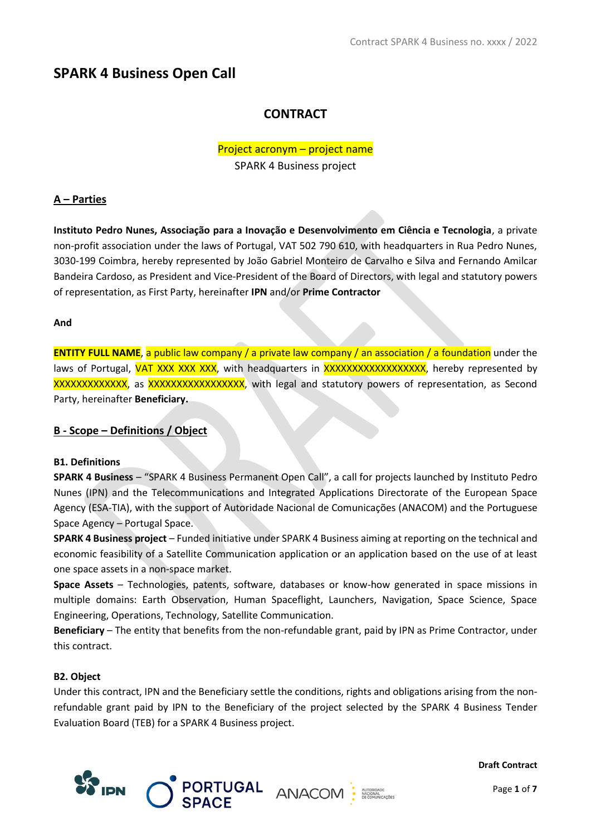# **SPARK 4 Business Open Call**

# **CONTRACT**

# Project acronym – project name

SPARK 4 Business project

## **A – Parties**

**Instituto Pedro Nunes, Associação para a Inovação e Desenvolvimento em Ciência e Tecnologia**, a private non-profit association under the laws of Portugal, VAT 502 790 610, with headquarters in Rua Pedro Nunes, 3030-199 Coimbra, hereby represented by João Gabriel Monteiro de Carvalho e Silva and Fernando Amilcar Bandeira Cardoso, as President and Vice-President of the Board of Directors, with legal and statutory powers of representation, as First Party, hereinafter **IPN** and/or **Prime Contractor**

## **And**

**ENTITY FULL NAME**, a public law company / a private law company / an association / a foundation under the laws of Portugal, VAT XXX XXX XXX, with headquarters in XXXXXXXXXXXXXXXXXX, hereby represented by XXXXXXXXXXXX, as XXXXXXXXXXXXXXXXXXX, with legal and statutory powers of representation, as Second Party, hereinafter **Beneficiary.**

## **B - Scope – Definitions / Object**

## **B1. Definitions**

**SPARK 4 Business** – "SPARK 4 Business Permanent Open Call", a call for projects launched by Instituto Pedro Nunes (IPN) and the Telecommunications and Integrated Applications Directorate of the European Space Agency (ESA-TIA), with the support of Autoridade Nacional de Comunicações (ANACOM) and the Portuguese Space Agency – Portugal Space.

**SPARK 4 Business project** – Funded initiative under SPARK 4 Business aiming at reporting on the technical and economic feasibility of a Satellite Communication application or an application based on the use of at least one space assets in a non-space market.

**Space Assets** – Technologies, patents, software, databases or know-how generated in space missions in multiple domains: Earth Observation, Human Spaceflight, Launchers, Navigation, Space Science, Space Engineering, Operations, Technology, Satellite Communication.

**Beneficiary** – The entity that benefits from the non-refundable grant, paid by IPN as Prime Contractor, under this contract.

## **B2. Object**

Under this contract, IPN and the Beneficiary settle the conditions, rights and obligations arising from the nonrefundable grant paid by IPN to the Beneficiary of the project selected by the SPARK 4 Business Tender Evaluation Board (TEB) for a SPARK 4 Business project.

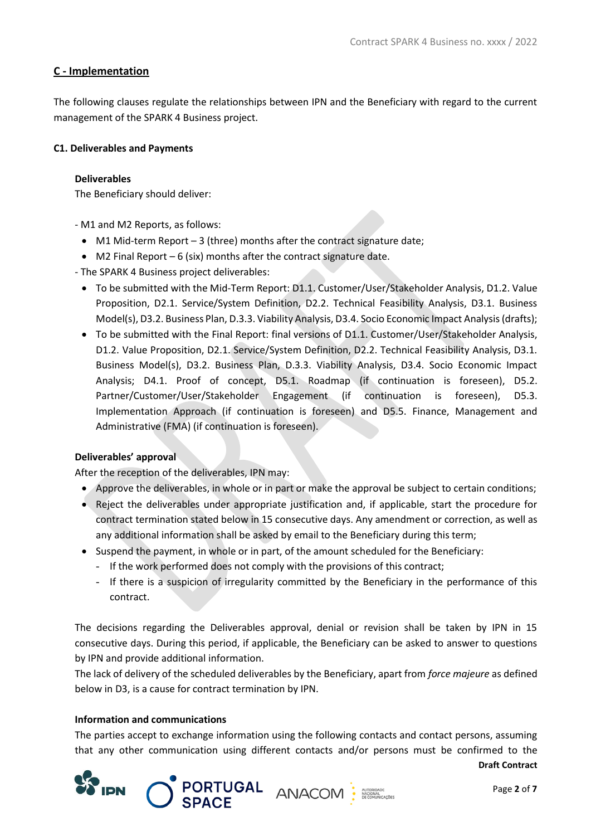## **C - Implementation**

The following clauses regulate the relationships between IPN and the Beneficiary with regard to the current management of the SPARK 4 Business project.

## **C1. Deliverables and Payments**

#### **Deliverables**

The Beneficiary should deliver:

- M1 and M2 Reports, as follows:
	- M1 Mid-term Report 3 (three) months after the contract signature date;
	- M2 Final Report  $-6$  (six) months after the contract signature date.
- The SPARK 4 Business project deliverables:
	- To be submitted with the Mid-Term Report: D1.1. Customer/User/Stakeholder Analysis, D1.2. Value Proposition, D2.1. Service/System Definition, D2.2. Technical Feasibility Analysis, D3.1. Business Model(s), D3.2. Business Plan, D.3.3. Viability Analysis, D3.4. Socio Economic Impact Analysis (drafts);
	- To be submitted with the Final Report: final versions of D1.1. Customer/User/Stakeholder Analysis, D1.2. Value Proposition, D2.1. Service/System Definition, D2.2. Technical Feasibility Analysis, D3.1. Business Model(s), D3.2. Business Plan, D.3.3. Viability Analysis, D3.4. Socio Economic Impact Analysis; D4.1. Proof of concept, D5.1. Roadmap (if continuation is foreseen), D5.2. Partner/Customer/User/Stakeholder Engagement (if continuation is foreseen), D5.3. Implementation Approach (if continuation is foreseen) and D5.5. Finance, Management and Administrative (FMA) (if continuation is foreseen).

## **Deliverables' approval**

After the reception of the deliverables, IPN may:

- Approve the deliverables, in whole or in part or make the approval be subject to certain conditions;
- Reject the deliverables under appropriate justification and, if applicable, start the procedure for contract termination stated below in 15 consecutive days. Any amendment or correction, as well as any additional information shall be asked by email to the Beneficiary during this term;
- Suspend the payment, in whole or in part, of the amount scheduled for the Beneficiary:
	- If the work performed does not comply with the provisions of this contract;
	- If there is a suspicion of irregularity committed by the Beneficiary in the performance of this contract.

The decisions regarding the Deliverables approval, denial or revision shall be taken by IPN in 15 consecutive days. During this period, if applicable, the Beneficiary can be asked to answer to questions by IPN and provide additional information.

The lack of delivery of the scheduled deliverables by the Beneficiary, apart from *force majeure* as defined below in D3, is a cause for contract termination by IPN.

#### **Information and communications**

The parties accept to exchange information using the following contacts and contact persons, assuming that any other communication using different contacts and/or persons must be confirmed to the

**PORTUGAL ANACOM** :

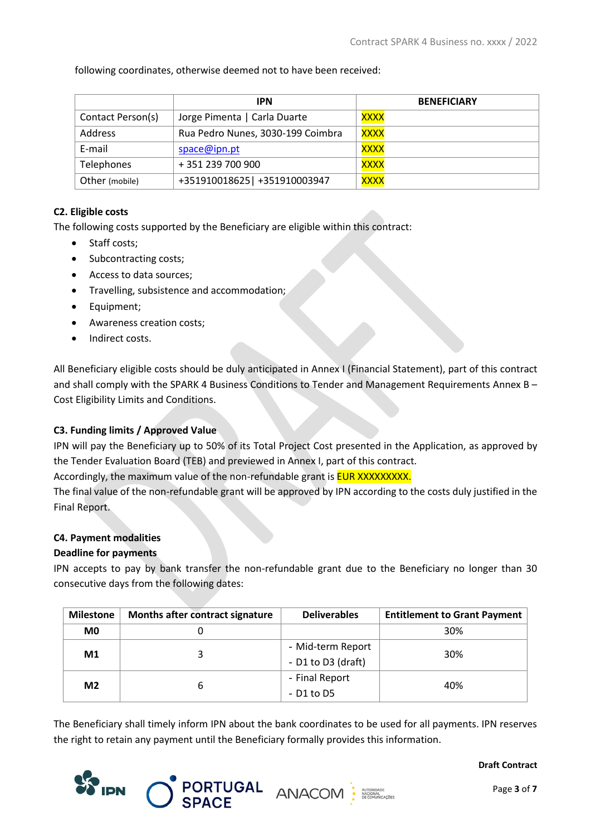following coordinates, otherwise deemed not to have been received:

|                   | <b>IPN</b>                        | <b>BENEFICIARY</b> |
|-------------------|-----------------------------------|--------------------|
| Contact Person(s) | Jorge Pimenta   Carla Duarte      | XXXX               |
| Address           | Rua Pedro Nunes, 3030-199 Coimbra | <b>XXXX</b>        |
| E-mail            | space@ipn.pt                      | <b>XXXX</b>        |
| Telephones        | +351239700900                     | <b>XXXX</b>        |
| Other (mobile)    | +351910018625   +351910003947     | <u>XXXX</u>        |

## **C2. Eligible costs**

The following costs supported by the Beneficiary are eligible within this contract:

- Staff costs;
- Subcontracting costs:
- Access to data sources;
- Travelling, subsistence and accommodation;
- Equipment;
- Awareness creation costs;
- Indirect costs.

All Beneficiary eligible costs should be duly anticipated in Annex I (Financial Statement), part of this contract and shall comply with the SPARK 4 Business Conditions to Tender and Management Requirements Annex B -Cost Eligibility Limits and Conditions.

## **C3. Funding limits / Approved Value**

IPN will pay the Beneficiary up to 50% of its Total Project Cost presented in the Application, as approved by the Tender Evaluation Board (TEB) and previewed in Annex I, part of this contract.

Accordingly, the maximum value of the non-refundable grant is **EUR XXXXXXXXX.** 

The final value of the non-refundable grant will be approved by IPN according to the costs duly justified in the Final Report.

## **C4. Payment modalities**

## **Deadline for payments**

IPN accepts to pay by bank transfer the non-refundable grant due to the Beneficiary no longer than 30 consecutive days from the following dates:

| <b>Milestone</b> | Months after contract signature | <b>Deliverables</b>                         | <b>Entitlement to Grant Payment</b> |
|------------------|---------------------------------|---------------------------------------------|-------------------------------------|
| M <sub>0</sub>   |                                 |                                             | 30%                                 |
| M <sub>1</sub>   |                                 | - Mid-term Report<br>- $D1$ to $D3$ (draft) | 30%                                 |
| M <sub>2</sub>   |                                 | - Final Report<br>- D1 to D5                | 40%                                 |

The Beneficiary shall timely inform IPN about the bank coordinates to be used for all payments. IPN reserves the right to retain any payment until the Beneficiary formally provides this information.

PORTUGAL ANACOM :



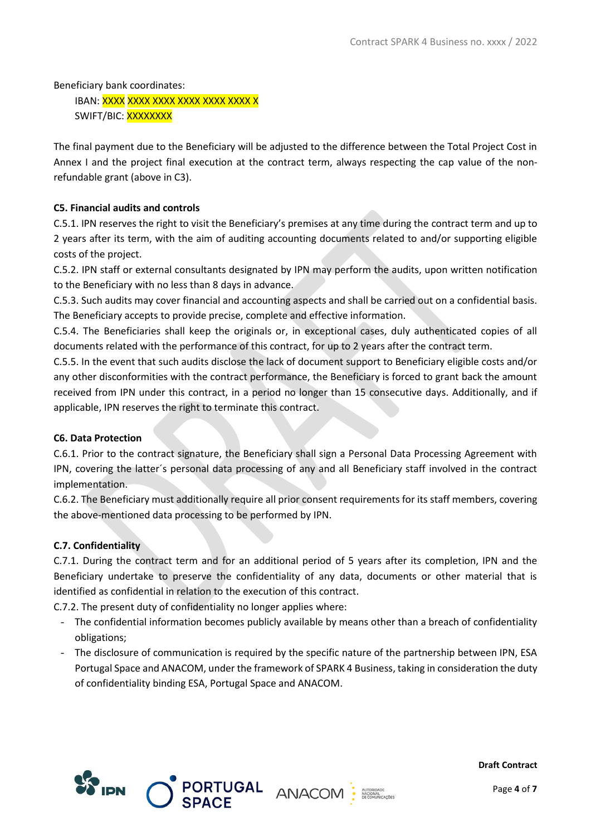Beneficiary bank coordinates: IBAN: <mark>XXXX XXXX XXXX XXXX XXXX X</mark> SWIFT/BIC: XXXXXXXX

The final payment due to the Beneficiary will be adjusted to the difference between the Total Project Cost in Annex I and the project final execution at the contract term, always respecting the cap value of the nonrefundable grant (above in C3).

## **C5. Financial audits and controls**

C.5.1. IPN reserves the right to visit the Beneficiary's premises at any time during the contract term and up to 2 years after its term, with the aim of auditing accounting documents related to and/or supporting eligible costs of the project.

C.5.2. IPN staff or external consultants designated by IPN may perform the audits, upon written notification to the Beneficiary with no less than 8 days in advance.

C.5.3. Such audits may cover financial and accounting aspects and shall be carried out on a confidential basis. The Beneficiary accepts to provide precise, complete and effective information.

C.5.4. The Beneficiaries shall keep the originals or, in exceptional cases, duly authenticated copies of all documents related with the performance of this contract, for up to 2 years after the contract term.

C.5.5. In the event that such audits disclose the lack of document support to Beneficiary eligible costs and/or any other disconformities with the contract performance, the Beneficiary is forced to grant back the amount received from IPN under this contract, in a period no longer than 15 consecutive days. Additionally, and if applicable, IPN reserves the right to terminate this contract.

## **C6. Data Protection**

C.6.1. Prior to the contract signature, the Beneficiary shall sign a Personal Data Processing Agreement with IPN, covering the latter´s personal data processing of any and all Beneficiary staff involved in the contract implementation.

C.6.2. The Beneficiary must additionally require all prior consent requirements for its staff members, covering the above-mentioned data processing to be performed by IPN.

## **C.7. Confidentiality**

C.7.1. During the contract term and for an additional period of 5 years after its completion, IPN and the Beneficiary undertake to preserve the confidentiality of any data, documents or other material that is identified as confidential in relation to the execution of this contract.

C.7.2. The present duty of confidentiality no longer applies where:

- The confidential information becomes publicly available by means other than a breach of confidentiality obligations;
- The disclosure of communication is required by the specific nature of the partnership between IPN, ESA Portugal Space and ANACOM, under the framework of SPARK 4 Business, taking in consideration the duty of confidentiality binding ESA, Portugal Space and ANACOM.

PORTUGAL ANACOM :



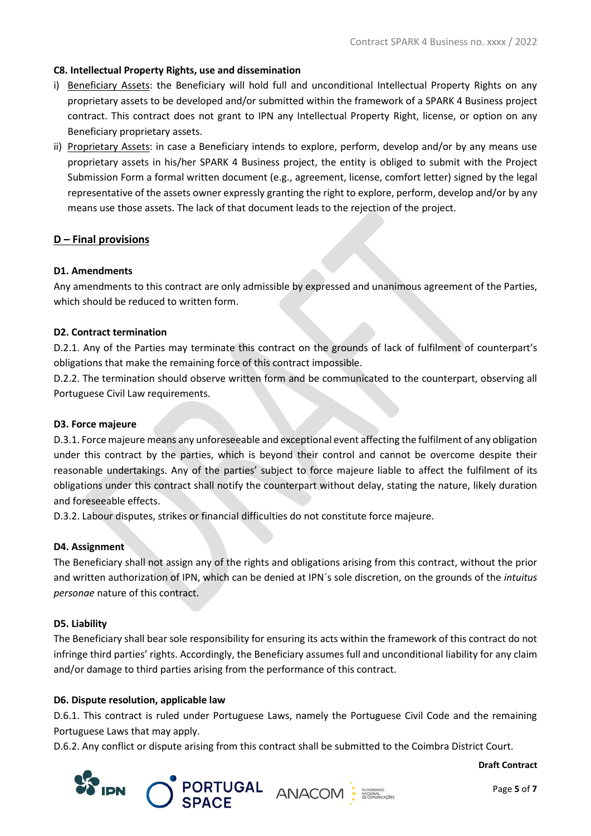#### **C8. Intellectual Property Rights, use and dissemination**

- i) Beneficiary Assets: the Beneficiary will hold full and unconditional Intellectual Property Rights on any proprietary assets to be developed and/or submitted within the framework of a SPARK 4 Business project contract. This contract does not grant to IPN any Intellectual Property Right, license, or option on any Beneficiary proprietary assets.
- ii) Proprietary Assets: in case a Beneficiary intends to explore, perform, develop and/or by any means use proprietary assets in his/her SPARK 4 Business project, the entity is obliged to submit with the Project Submission Form a formal written document (e.g., agreement, license, comfort letter) signed by the legal representative of the assets owner expressly granting the right to explore, perform, develop and/or by any means use those assets. The lack of that document leads to the rejection of the project.

## **D – Final provisions**

#### **D1. Amendments**

Any amendments to this contract are only admissible by expressed and unanimous agreement of the Parties, which should be reduced to written form.

#### **D2. Contract termination**

D.2.1. Any of the Parties may terminate this contract on the grounds of lack of fulfilment of counterpart's obligations that make the remaining force of this contract impossible.

D.2.2. The termination should observe written form and be communicated to the counterpart, observing all Portuguese Civil Law requirements.

#### **D3. Force majeure**

D.3.1. Force majeure means any unforeseeable and exceptional event affecting the fulfilment of any obligation under this contract by the parties, which is beyond their control and cannot be overcome despite their reasonable undertakings. Any of the parties' subject to force majeure liable to affect the fulfilment of its obligations under this contract shall notify the counterpart without delay, stating the nature, likely duration and foreseeable effects.

D.3.2. Labour disputes, strikes or financial difficulties do not constitute force majeure.

#### **D4. Assignment**

The Beneficiary shall not assign any of the rights and obligations arising from this contract, without the prior and written authorization of IPN, which can be denied at IPN´s sole discretion, on the grounds of the *intuitus personae* nature of this contract.

#### **D5. Liability**

The Beneficiary shall bear sole responsibility for ensuring its acts within the framework of this contract do not infringe third parties' rights. Accordingly, the Beneficiary assumes full and unconditional liability for any claim and/or damage to third parties arising from the performance of this contract.

#### **D6. Dispute resolution, applicable law**

D.6.1. This contract is ruled under Portuguese Laws, namely the Portuguese Civil Code and the remaining Portuguese Laws that may apply.

D.6.2. Any conflict or dispute arising from this contract shall be submitted to the Coimbra District Court.



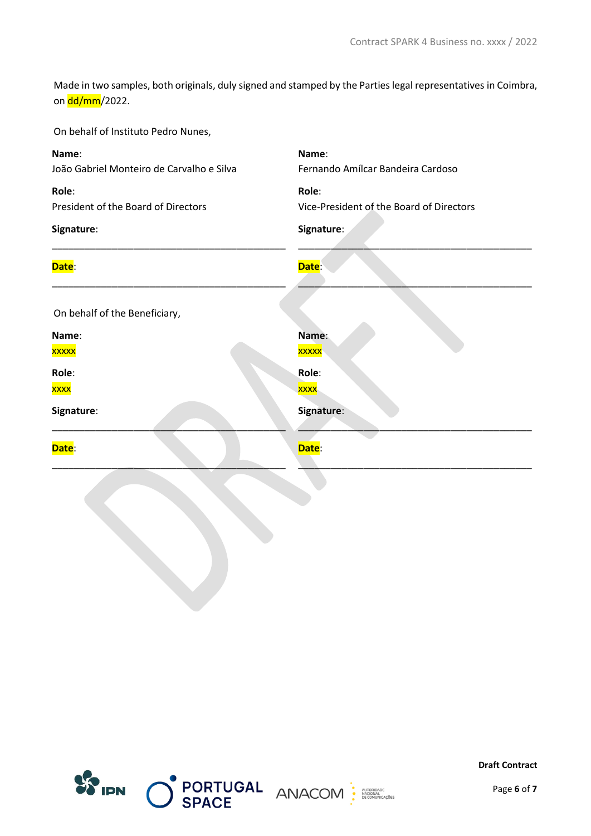Made in two samples, both originals, duly signed and stamped by the Parties legal representatives in Coimbra, on dd/mm/2022.

On behalf of Instituto Pedro Nunes,

| Name:                                     | Name:                                    |
|-------------------------------------------|------------------------------------------|
| João Gabriel Monteiro de Carvalho e Silva | Fernando Amílcar Bandeira Cardoso        |
| Role:                                     | Role:                                    |
| President of the Board of Directors       | Vice-President of the Board of Directors |
| Signature:                                | Signature:                               |
| Date:                                     | Date:                                    |
| On behalf of the Beneficiary,             |                                          |
| Name:                                     | Name:                                    |
| xxxxx                                     | <b>XXXXX</b>                             |
| Role:                                     | Role:                                    |
| xxxx                                      | <b>XXXX</b>                              |
| Signature:                                | Signature:                               |
| Date:                                     | Date:                                    |
|                                           |                                          |